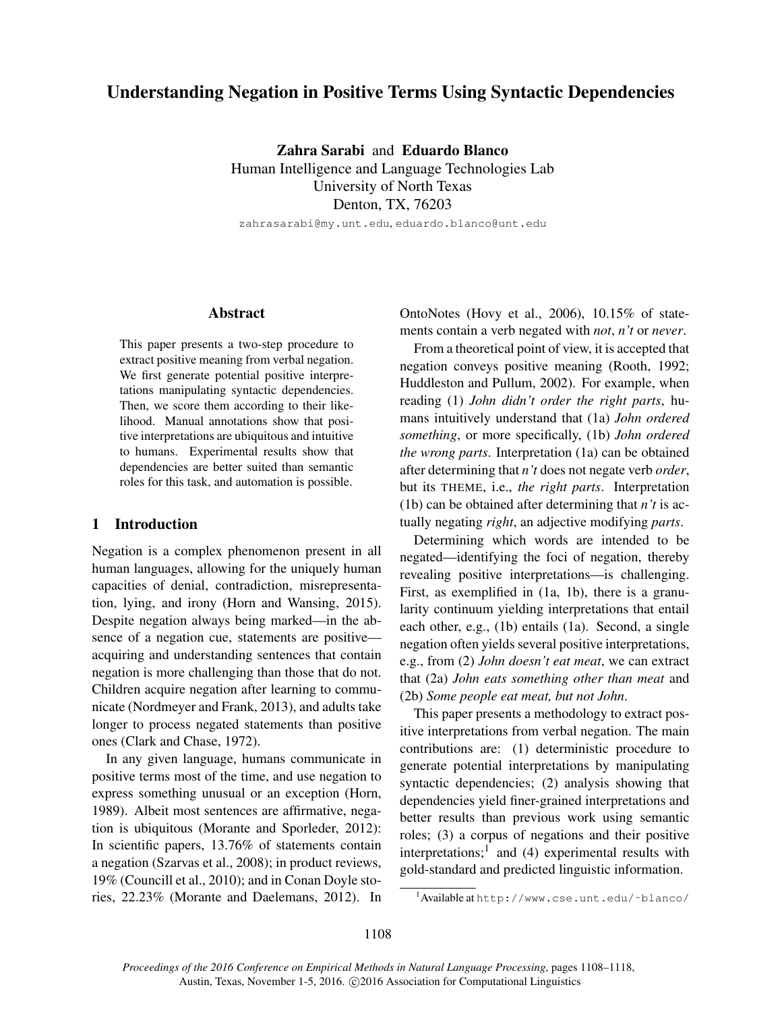# Understanding Negation in Positive Terms Using Syntactic Dependencies

Zahra Sarabi and Eduardo Blanco Human Intelligence and Language Technologies Lab University of North Texas Denton, TX, 76203

zahrasarabi@my.unt.edu, eduardo.blanco@unt.edu

#### Abstract

This paper presents a two-step procedure to extract positive meaning from verbal negation. We first generate potential positive interpretations manipulating syntactic dependencies. Then, we score them according to their likelihood. Manual annotations show that positive interpretations are ubiquitous and intuitive to humans. Experimental results show that dependencies are better suited than semantic roles for this task, and automation is possible.

## 1 Introduction

Negation is a complex phenomenon present in all human languages, allowing for the uniquely human capacities of denial, contradiction, misrepresentation, lying, and irony (Horn and Wansing, 2015). Despite negation always being marked—in the absence of a negation cue, statements are positive acquiring and understanding sentences that contain negation is more challenging than those that do not. Children acquire negation after learning to communicate (Nordmeyer and Frank, 2013), and adults take longer to process negated statements than positive ones (Clark and Chase, 1972).

In any given language, humans communicate in positive terms most of the time, and use negation to express something unusual or an exception (Horn, 1989). Albeit most sentences are affirmative, negation is ubiquitous (Morante and Sporleder, 2012): In scientific papers, 13.76% of statements contain a negation (Szarvas et al., 2008); in product reviews, 19% (Councill et al., 2010); and in Conan Doyle stories, 22.23% (Morante and Daelemans, 2012). In OntoNotes (Hovy et al., 2006), 10.15% of statements contain a verb negated with *not*, *n't* or *never*.

From a theoretical point of view, it is accepted that negation conveys positive meaning (Rooth, 1992; Huddleston and Pullum, 2002). For example, when reading (1) *John didn't order the right parts*, humans intuitively understand that (1a) *John ordered something*, or more specifically, (1b) *John ordered the wrong parts*. Interpretation (1a) can be obtained after determining that *n't* does not negate verb *order*, but its THEME, i.e., *the right parts*. Interpretation (1b) can be obtained after determining that *n't* is actually negating *right*, an adjective modifying *parts*.

Determining which words are intended to be negated—identifying the foci of negation, thereby revealing positive interpretations—is challenging. First, as exemplified in (1a, 1b), there is a granularity continuum yielding interpretations that entail each other, e.g., (1b) entails (1a). Second, a single negation often yields several positive interpretations, e.g., from (2) *John doesn't eat meat*, we can extract that (2a) *John eats something other than meat* and (2b) *Some people eat meat, but not John*.

This paper presents a methodology to extract positive interpretations from verbal negation. The main contributions are: (1) deterministic procedure to generate potential interpretations by manipulating syntactic dependencies; (2) analysis showing that dependencies yield finer-grained interpretations and better results than previous work using semantic roles; (3) a corpus of negations and their positive interpretations;<sup>1</sup> and (4) experimental results with gold-standard and predicted linguistic information.

<sup>&</sup>lt;sup>1</sup>Available at http://www.cse.unt.edu/~blanco/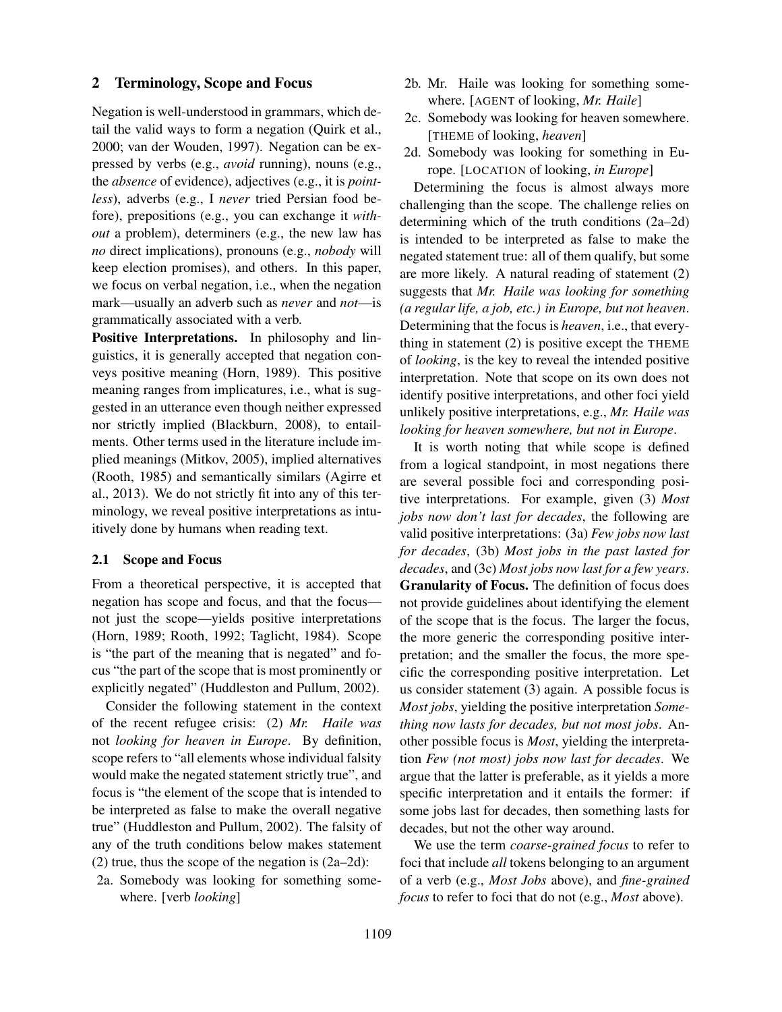# 2 Terminology, Scope and Focus

Negation is well-understood in grammars, which detail the valid ways to form a negation (Quirk et al., 2000; van der Wouden, 1997). Negation can be expressed by verbs (e.g., *avoid* running), nouns (e.g., the *absence* of evidence), adjectives (e.g., it is *pointless*), adverbs (e.g., I *never* tried Persian food before), prepositions (e.g., you can exchange it *without* a problem), determiners (e.g., the new law has *no* direct implications), pronouns (e.g., *nobody* will keep election promises), and others. In this paper, we focus on verbal negation, i.e., when the negation mark—usually an adverb such as *never* and *not*—is grammatically associated with a verb.

Positive Interpretations. In philosophy and linguistics, it is generally accepted that negation conveys positive meaning (Horn, 1989). This positive meaning ranges from implicatures, i.e., what is suggested in an utterance even though neither expressed nor strictly implied (Blackburn, 2008), to entailments. Other terms used in the literature include implied meanings (Mitkov, 2005), implied alternatives (Rooth, 1985) and semantically similars (Agirre et al., 2013). We do not strictly fit into any of this terminology, we reveal positive interpretations as intuitively done by humans when reading text.

#### 2.1 Scope and Focus

From a theoretical perspective, it is accepted that negation has scope and focus, and that the focus not just the scope—yields positive interpretations (Horn, 1989; Rooth, 1992; Taglicht, 1984). Scope is "the part of the meaning that is negated" and focus "the part of the scope that is most prominently or explicitly negated" (Huddleston and Pullum, 2002).

Consider the following statement in the context of the recent refugee crisis: (2) *Mr. Haile was* not *looking for heaven in Europe*. By definition, scope refers to "all elements whose individual falsity would make the negated statement strictly true", and focus is "the element of the scope that is intended to be interpreted as false to make the overall negative true" (Huddleston and Pullum, 2002). The falsity of any of the truth conditions below makes statement (2) true, thus the scope of the negation is (2a–2d):

2a. Somebody was looking for something somewhere. [verb *looking*]

- 2b. Mr. Haile was looking for something somewhere. [AGENT of looking, *Mr. Haile*]
- 2c. Somebody was looking for heaven somewhere. [THEME of looking, *heaven*]
- 2d. Somebody was looking for something in Europe. [LOCATION of looking, *in Europe*]

Determining the focus is almost always more challenging than the scope. The challenge relies on determining which of the truth conditions (2a–2d) is intended to be interpreted as false to make the negated statement true: all of them qualify, but some are more likely. A natural reading of statement (2) suggests that *Mr. Haile was looking for something (a regular life, a job, etc.) in Europe, but not heaven*. Determining that the focus is *heaven*, i.e., that everything in statement (2) is positive except the THEME of *looking*, is the key to reveal the intended positive interpretation. Note that scope on its own does not identify positive interpretations, and other foci yield unlikely positive interpretations, e.g., *Mr. Haile was looking for heaven somewhere, but not in Europe*.

It is worth noting that while scope is defined from a logical standpoint, in most negations there are several possible foci and corresponding positive interpretations. For example, given (3) *Most jobs now don't last for decades*, the following are valid positive interpretations: (3a) *Few jobs now last for decades*, (3b) *Most jobs in the past lasted for decades*, and (3c) *Most jobs now last for a few years*. Granularity of Focus. The definition of focus does not provide guidelines about identifying the element of the scope that is the focus. The larger the focus, the more generic the corresponding positive interpretation; and the smaller the focus, the more specific the corresponding positive interpretation. Let us consider statement (3) again. A possible focus is *Most jobs*, yielding the positive interpretation *Something now lasts for decades, but not most jobs*. Another possible focus is *Most*, yielding the interpretation *Few (not most) jobs now last for decades*. We argue that the latter is preferable, as it yields a more specific interpretation and it entails the former: if some jobs last for decades, then something lasts for decades, but not the other way around.

We use the term *coarse-grained focus* to refer to foci that include *all* tokens belonging to an argument of a verb (e.g., *Most Jobs* above), and *fine-grained focus* to refer to foci that do not (e.g., *Most* above).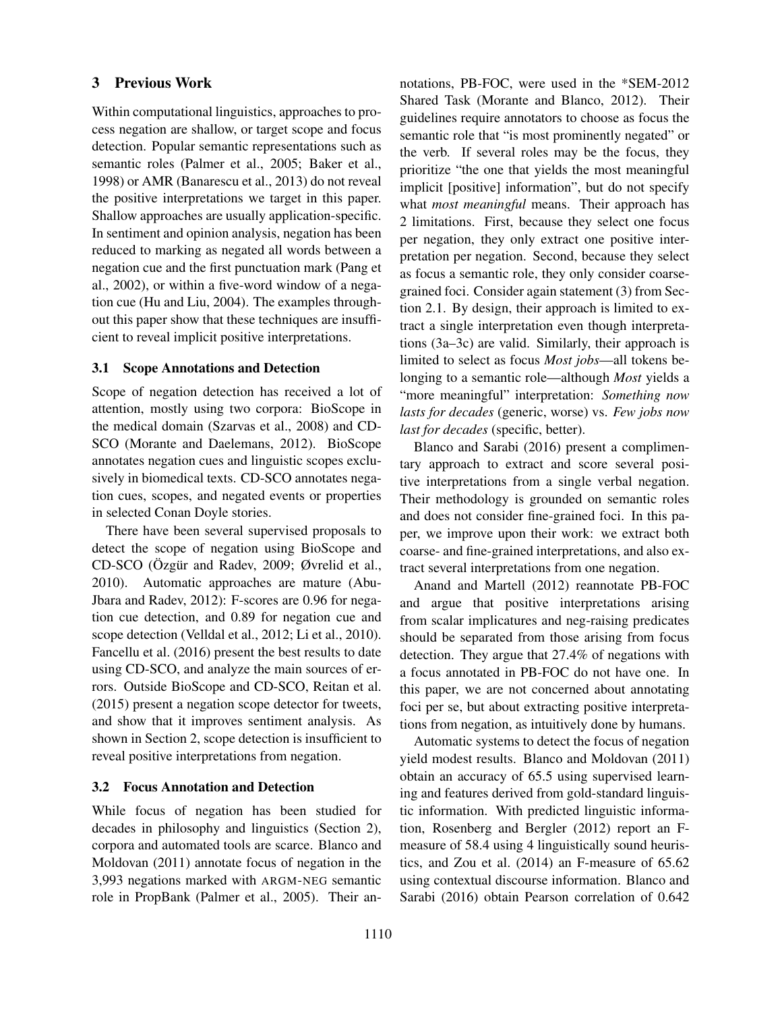# 3 Previous Work

Within computational linguistics, approaches to process negation are shallow, or target scope and focus detection. Popular semantic representations such as semantic roles (Palmer et al., 2005; Baker et al., 1998) or AMR (Banarescu et al., 2013) do not reveal the positive interpretations we target in this paper. Shallow approaches are usually application-specific. In sentiment and opinion analysis, negation has been reduced to marking as negated all words between a negation cue and the first punctuation mark (Pang et al., 2002), or within a five-word window of a negation cue (Hu and Liu, 2004). The examples throughout this paper show that these techniques are insufficient to reveal implicit positive interpretations.

# 3.1 Scope Annotations and Detection

Scope of negation detection has received a lot of attention, mostly using two corpora: BioScope in the medical domain (Szarvas et al., 2008) and CD-SCO (Morante and Daelemans, 2012). BioScope annotates negation cues and linguistic scopes exclusively in biomedical texts. CD-SCO annotates negation cues, scopes, and negated events or properties in selected Conan Doyle stories.

There have been several supervised proposals to detect the scope of negation using BioScope and CD-SCO (Özgür and Radev, 2009; Øvrelid et al., 2010). Automatic approaches are mature (Abu-Jbara and Radev, 2012): F-scores are 0.96 for negation cue detection, and 0.89 for negation cue and scope detection (Velldal et al., 2012; Li et al., 2010). Fancellu et al. (2016) present the best results to date using CD-SCO, and analyze the main sources of errors. Outside BioScope and CD-SCO, Reitan et al. (2015) present a negation scope detector for tweets, and show that it improves sentiment analysis. As shown in Section 2, scope detection is insufficient to reveal positive interpretations from negation.

# 3.2 Focus Annotation and Detection

While focus of negation has been studied for decades in philosophy and linguistics (Section 2), corpora and automated tools are scarce. Blanco and Moldovan (2011) annotate focus of negation in the 3,993 negations marked with ARGM-NEG semantic role in PropBank (Palmer et al., 2005). Their annotations, PB-FOC, were used in the \*SEM-2012 Shared Task (Morante and Blanco, 2012). Their guidelines require annotators to choose as focus the semantic role that "is most prominently negated" or the verb. If several roles may be the focus, they prioritize "the one that yields the most meaningful implicit [positive] information", but do not specify what *most meaningful* means. Their approach has 2 limitations. First, because they select one focus per negation, they only extract one positive interpretation per negation. Second, because they select as focus a semantic role, they only consider coarsegrained foci. Consider again statement (3) from Section 2.1. By design, their approach is limited to extract a single interpretation even though interpretations (3a–3c) are valid. Similarly, their approach is limited to select as focus *Most jobs*—all tokens belonging to a semantic role—although *Most* yields a "more meaningful" interpretation: *Something now lasts for decades* (generic, worse) vs. *Few jobs now last for decades* (specific, better).

Blanco and Sarabi (2016) present a complimentary approach to extract and score several positive interpretations from a single verbal negation. Their methodology is grounded on semantic roles and does not consider fine-grained foci. In this paper, we improve upon their work: we extract both coarse- and fine-grained interpretations, and also extract several interpretations from one negation.

Anand and Martell (2012) reannotate PB-FOC and argue that positive interpretations arising from scalar implicatures and neg-raising predicates should be separated from those arising from focus detection. They argue that 27.4% of negations with a focus annotated in PB-FOC do not have one. In this paper, we are not concerned about annotating foci per se, but about extracting positive interpretations from negation, as intuitively done by humans.

Automatic systems to detect the focus of negation yield modest results. Blanco and Moldovan (2011) obtain an accuracy of 65.5 using supervised learning and features derived from gold-standard linguistic information. With predicted linguistic information, Rosenberg and Bergler (2012) report an Fmeasure of 58.4 using 4 linguistically sound heuristics, and Zou et al. (2014) an F-measure of 65.62 using contextual discourse information. Blanco and Sarabi (2016) obtain Pearson correlation of 0.642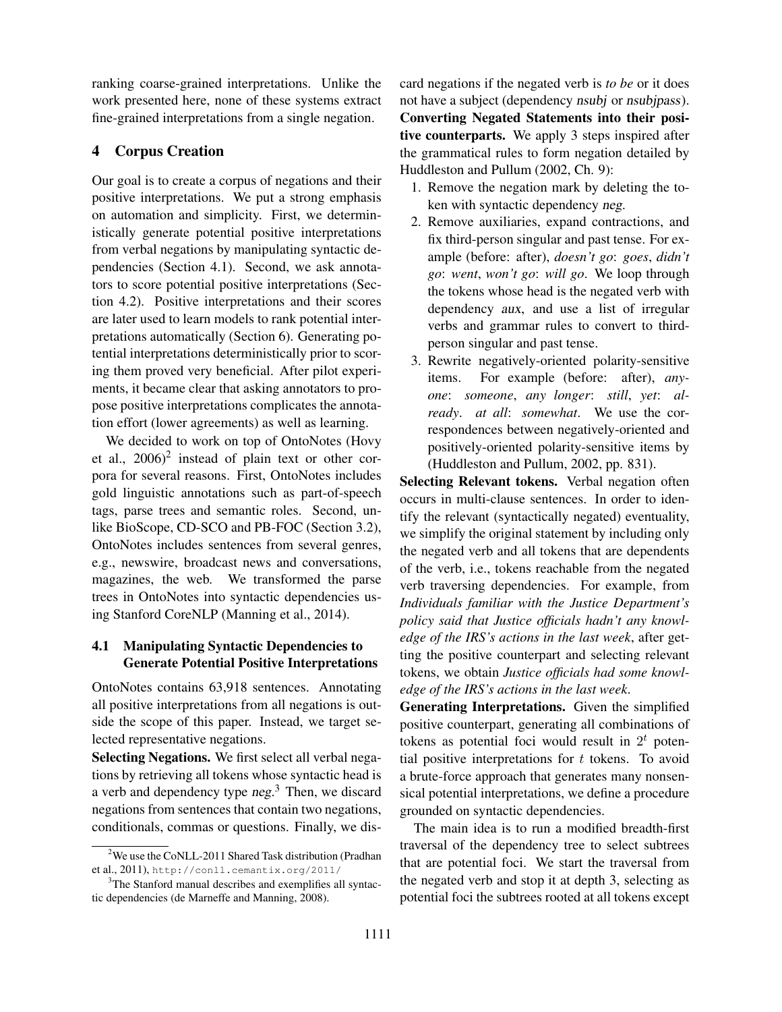ranking coarse-grained interpretations. Unlike the work presented here, none of these systems extract fine-grained interpretations from a single negation.

# 4 Corpus Creation

Our goal is to create a corpus of negations and their positive interpretations. We put a strong emphasis on automation and simplicity. First, we deterministically generate potential positive interpretations from verbal negations by manipulating syntactic dependencies (Section 4.1). Second, we ask annotators to score potential positive interpretations (Section 4.2). Positive interpretations and their scores are later used to learn models to rank potential interpretations automatically (Section 6). Generating potential interpretations deterministically prior to scoring them proved very beneficial. After pilot experiments, it became clear that asking annotators to propose positive interpretations complicates the annotation effort (lower agreements) as well as learning.

We decided to work on top of OntoNotes (Hovy et al.,  $2006$ <sup>2</sup> instead of plain text or other corpora for several reasons. First, OntoNotes includes gold linguistic annotations such as part-of-speech tags, parse trees and semantic roles. Second, unlike BioScope, CD-SCO and PB-FOC (Section 3.2), OntoNotes includes sentences from several genres, e.g., newswire, broadcast news and conversations, magazines, the web. We transformed the parse trees in OntoNotes into syntactic dependencies using Stanford CoreNLP (Manning et al., 2014).

# 4.1 Manipulating Syntactic Dependencies to Generate Potential Positive Interpretations

OntoNotes contains 63,918 sentences. Annotating all positive interpretations from all negations is outside the scope of this paper. Instead, we target selected representative negations.

Selecting Negations. We first select all verbal negations by retrieving all tokens whose syntactic head is a verb and dependency type neg.<sup>3</sup> Then, we discard negations from sentences that contain two negations, conditionals, commas or questions. Finally, we discard negations if the negated verb is *to be* or it does not have a subject (dependency *nsubj* or *nsubjpass*). Converting Negated Statements into their positive counterparts. We apply 3 steps inspired after the grammatical rules to form negation detailed by Huddleston and Pullum (2002, Ch. 9):

- 1. Remove the negation mark by deleting the token with syntactic dependency neg.
- 2. Remove auxiliaries, expand contractions, and fix third-person singular and past tense. For example (before: after), *doesn't go*: *goes*, *didn't go*: *went*, *won't go*: *will go*. We loop through the tokens whose head is the negated verb with dependency aux, and use a list of irregular verbs and grammar rules to convert to thirdperson singular and past tense.
- 3. Rewrite negatively-oriented polarity-sensitive items. For example (before: after), *anyone*: *someone*, *any longer*: *still*, *yet*: *already*. *at all*: *somewhat*. We use the correspondences between negatively-oriented and positively-oriented polarity-sensitive items by (Huddleston and Pullum, 2002, pp. 831).

Selecting Relevant tokens. Verbal negation often occurs in multi-clause sentences. In order to identify the relevant (syntactically negated) eventuality, we simplify the original statement by including only the negated verb and all tokens that are dependents of the verb, i.e., tokens reachable from the negated verb traversing dependencies. For example, from *Individuals familiar with the Justice Department's policy said that Justice officials hadn't any knowledge of the IRS's actions in the last week*, after getting the positive counterpart and selecting relevant tokens, we obtain *Justice officials had some knowledge of the IRS's actions in the last week*.

Generating Interpretations. Given the simplified positive counterpart, generating all combinations of tokens as potential foci would result in  $2<sup>t</sup>$  potential positive interpretations for  $t$  tokens. To avoid a brute-force approach that generates many nonsensical potential interpretations, we define a procedure grounded on syntactic dependencies.

The main idea is to run a modified breadth-first traversal of the dependency tree to select subtrees that are potential foci. We start the traversal from the negated verb and stop it at depth 3, selecting as potential foci the subtrees rooted at all tokens except

<sup>&</sup>lt;sup>2</sup>We use the CoNLL-2011 Shared Task distribution (Pradhan et al., 2011), http://conll.cemantix.org/2011/

<sup>&</sup>lt;sup>3</sup>The Stanford manual describes and exemplifies all syntactic dependencies (de Marneffe and Manning, 2008).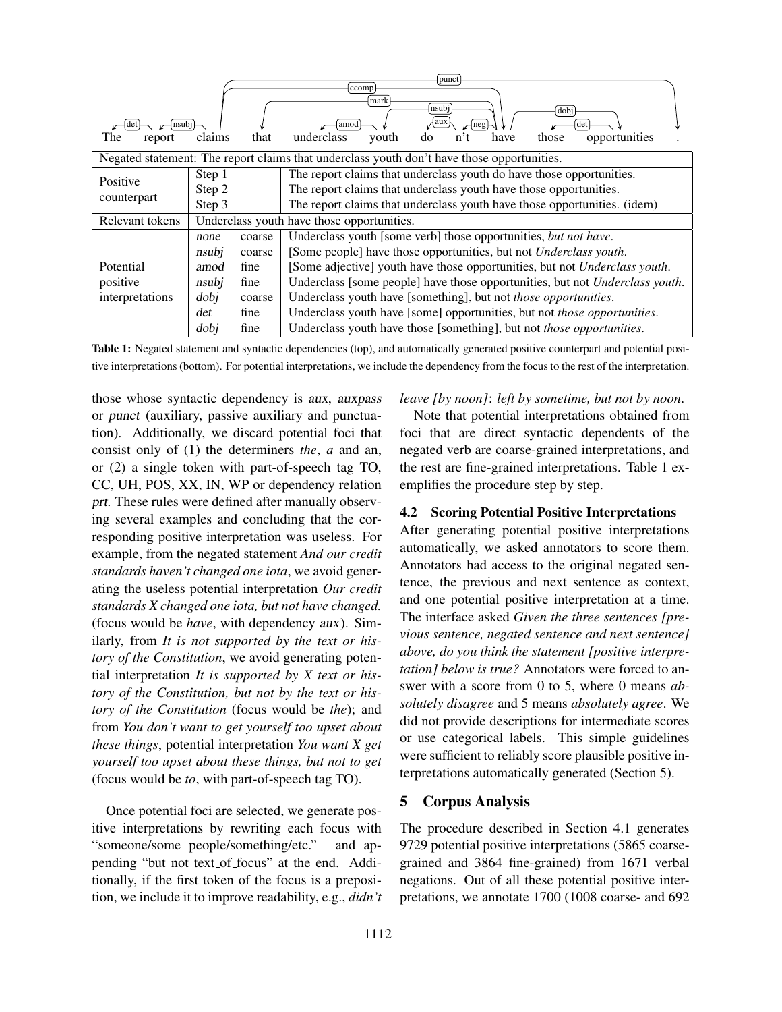| The<br>report   | claims                                                                                     | that           | punct<br>ccomp<br>mark<br>nsubj<br>dobi<br>∤aux<br>det<br>neg<br>amoo<br>underclass<br>those<br>youth<br>opportunities<br>do<br>have<br>n <sup>2</sup>  |  |  |  |  |
|-----------------|--------------------------------------------------------------------------------------------|----------------|---------------------------------------------------------------------------------------------------------------------------------------------------------|--|--|--|--|
|                 | Negated statement: The report claims that underclass youth don't have those opportunities. |                |                                                                                                                                                         |  |  |  |  |
| Positive        | Step 1                                                                                     |                | The report claims that underclass youth do have those opportunities.                                                                                    |  |  |  |  |
| counterpart     | Step 2<br>Step 3                                                                           |                | The report claims that underclass youth have those opportunities.<br>The report claims that underclass youth have those opportunities. (idem)           |  |  |  |  |
| Relevant tokens | Underclass youth have those opportunities.                                                 |                |                                                                                                                                                         |  |  |  |  |
|                 | Underclass youth [some verb] those opportunities, but not have.<br>coarse<br>none          |                |                                                                                                                                                         |  |  |  |  |
| Potential       | nsubj<br>amod                                                                              | coarse<br>fine | [Some people] have those opportunities, but not Underclass youth.<br>[Some adjective] youth have those opportunities, but not <i>Underclass youth</i> . |  |  |  |  |
| positive        | Underclass [some people] have those opportunities, but not Underclass youth.               |                |                                                                                                                                                         |  |  |  |  |
| interpretations | dobj                                                                                       | coarse         | Underclass youth have [something], but not those opportunities.                                                                                         |  |  |  |  |
| fine<br>det     |                                                                                            |                | Underclass youth have [some] opportunities, but not those opportunities.                                                                                |  |  |  |  |
|                 | dobi                                                                                       | fine           | Underclass youth have those [something], but not those opportunities.                                                                                   |  |  |  |  |

Table 1: Negated statement and syntactic dependencies (top), and automatically generated positive counterpart and potential positive interpretations (bottom). For potential interpretations, we include the dependency from the focus to the rest of the interpretation.

those whose syntactic dependency is aux, auxpass or punct (auxiliary, passive auxiliary and punctuation). Additionally, we discard potential foci that consist only of (1) the determiners *the*, *a* and an, or (2) a single token with part-of-speech tag TO, CC, UH, POS, XX, IN, WP or dependency relation prt. These rules were defined after manually observing several examples and concluding that the corresponding positive interpretation was useless. For example, from the negated statement *And our credit standards haven't changed one iota*, we avoid generating the useless potential interpretation *Our credit standards X changed one iota, but not have changed.* (focus would be *have*, with dependency aux). Similarly, from *It is not supported by the text or history of the Constitution*, we avoid generating potential interpretation *It is supported by X text or history of the Constitution, but not by the text or history of the Constitution* (focus would be *the*); and from *You don't want to get yourself too upset about these things*, potential interpretation *You want X get yourself too upset about these things, but not to get* (focus would be *to*, with part-of-speech tag TO).

Once potential foci are selected, we generate positive interpretations by rewriting each focus with "someone/some people/something/etc." and appending "but not text of focus" at the end. Additionally, if the first token of the focus is a preposition, we include it to improve readability, e.g., *didn't*

#### *leave [by noon]*: *left by sometime, but not by noon*.

Note that potential interpretations obtained from foci that are direct syntactic dependents of the negated verb are coarse-grained interpretations, and the rest are fine-grained interpretations. Table 1 exemplifies the procedure step by step.

# 4.2 Scoring Potential Positive Interpretations

After generating potential positive interpretations automatically, we asked annotators to score them. Annotators had access to the original negated sentence, the previous and next sentence as context, and one potential positive interpretation at a time. The interface asked *Given the three sentences [previous sentence, negated sentence and next sentence] above, do you think the statement [positive interpretation] below is true?* Annotators were forced to answer with a score from 0 to 5, where 0 means *absolutely disagree* and 5 means *absolutely agree*. We did not provide descriptions for intermediate scores or use categorical labels. This simple guidelines were sufficient to reliably score plausible positive interpretations automatically generated (Section 5).

# 5 Corpus Analysis

The procedure described in Section 4.1 generates 9729 potential positive interpretations (5865 coarsegrained and 3864 fine-grained) from 1671 verbal negations. Out of all these potential positive interpretations, we annotate 1700 (1008 coarse- and 692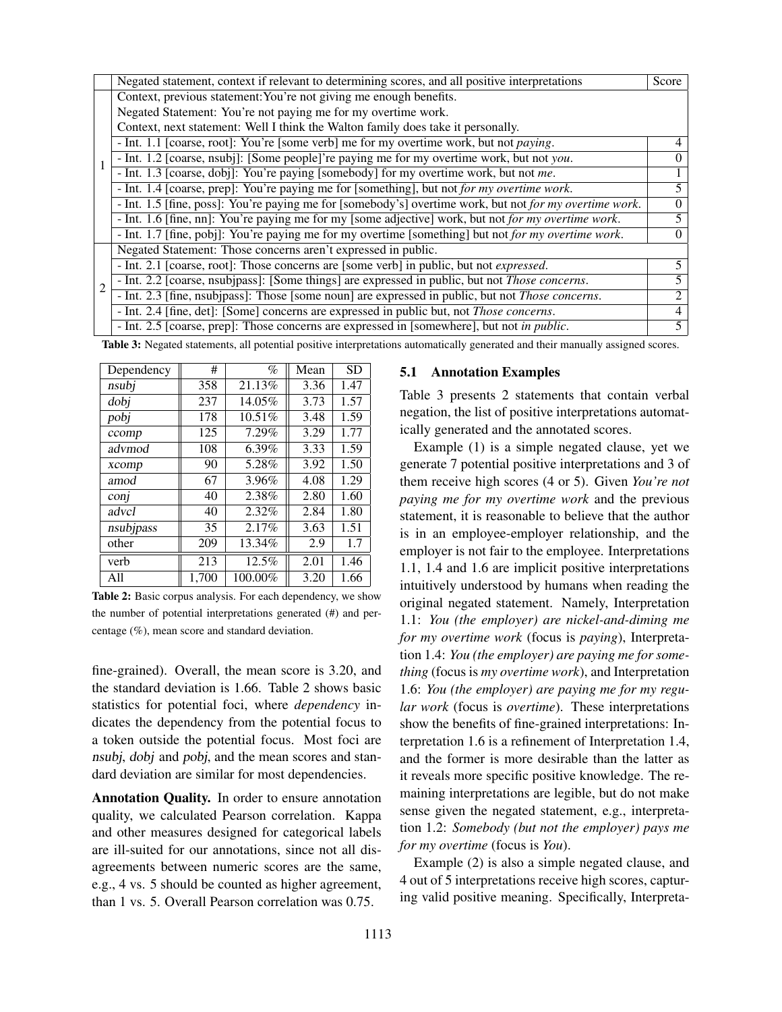|                | Negated statement, context if relevant to determining scores, and all positive interpretations           | Score                       |  |  |  |
|----------------|----------------------------------------------------------------------------------------------------------|-----------------------------|--|--|--|
|                | Context, previous statement: You're not giving me enough benefits.                                       |                             |  |  |  |
|                | Negated Statement: You're not paying me for my overtime work.                                            |                             |  |  |  |
|                | Context, next statement: Well I think the Walton family does take it personally.                         |                             |  |  |  |
|                | - Int. 1.1 [coarse, root]: You're [some verb] me for my overtime work, but not <i>paying</i> .           | 4                           |  |  |  |
|                | - Int. 1.2 [coarse, nsubj]: [Some people]'re paying me for my overtime work, but not you.                | $\Omega$                    |  |  |  |
|                | - Int. 1.3 [coarse, dobj]: You're paying [somebody] for my overtime work, but not me.                    |                             |  |  |  |
|                | - Int. 1.4 [coarse, prep]: You're paying me for [something], but not for my overtime work.               |                             |  |  |  |
|                | - Int. 1.5 [fine, poss]: You're paying me for [somebody's] overtime work, but not for my overtime work.  | $\Omega$                    |  |  |  |
|                | - Int. 1.6 [fine, nn]: You're paying me for my [some adjective] work, but not for my overtime work.      |                             |  |  |  |
|                | - Int. 1.7 [fine, pobj]: You're paying me for my overtime [something] but not for my overtime work.      | $\Omega$                    |  |  |  |
|                | Negated Statement: Those concerns aren't expressed in public.                                            |                             |  |  |  |
|                | - Int. 2.1 [coarse, root]: Those concerns are [some verb] in public, but not <i>expressed</i> .          |                             |  |  |  |
| $\overline{c}$ | - Int. 2.2 [coarse, nsubjpass]: [Some things] are expressed in public, but not <i>Those concerns</i> .   |                             |  |  |  |
|                | - Int. 2.3 [fine, nsubjpass]: Those [some noun] are expressed in public, but not <i>Those concerns</i> . | $\mathcal{D}_{\mathcal{L}}$ |  |  |  |
|                | - Int. 2.4 [fine, det]: [Some] concerns are expressed in public but, not <i>Those concerns</i> .         |                             |  |  |  |
|                | - Int. 2.5 [coarse, prep]: Those concerns are expressed in [somewhere], but not in public.               | 5                           |  |  |  |

Table 3: Negated statements, all potential positive interpretations automatically generated and their manually assigned scores.

| Dependency | #     | $\%$    | Mean | <b>SD</b> |
|------------|-------|---------|------|-----------|
| nsubj      | 358   | 21.13%  | 3.36 | 1.47      |
| dobi       | 237   | 14.05%  | 3.73 | 1.57      |
| pobj       | 178   | 10.51%  | 3.48 | 1.59      |
| ccomp      | 125   | 7.29%   | 3.29 | 1.77      |
| advmod     | 108   | 6.39%   | 3.33 | 1.59      |
| xcomp      | 90    | 5.28%   | 3.92 | 1.50      |
| amod       | 67    | 3.96%   | 4.08 | 1.29      |
| conj       | 40    | 2.38%   | 2.80 | 1.60      |
| advcl      | 40    | 2.32%   | 2.84 | 1.80      |
| nsubjpass  | 35    | 2.17%   | 3.63 | 1.51      |
| other      | 209   | 13.34%  | 2.9  | 1.7       |
| verb       | 213   | 12.5%   | 2.01 | 1.46      |
| A11        | 1.700 | 100.00% | 3.20 | 1.66      |

Table 2: Basic corpus analysis. For each dependency, we show the number of potential interpretations generated (#) and percentage (%), mean score and standard deviation.

fine-grained). Overall, the mean score is 3.20, and the standard deviation is 1.66. Table 2 shows basic statistics for potential foci, where *dependency* indicates the dependency from the potential focus to a token outside the potential focus. Most foci are nsubj, dobj and pobj, and the mean scores and standard deviation are similar for most dependencies.

Annotation Quality. In order to ensure annotation quality, we calculated Pearson correlation. Kappa and other measures designed for categorical labels are ill-suited for our annotations, since not all disagreements between numeric scores are the same, e.g., 4 vs. 5 should be counted as higher agreement, than 1 vs. 5. Overall Pearson correlation was 0.75.

### 5.1 Annotation Examples

Table 3 presents 2 statements that contain verbal negation, the list of positive interpretations automatically generated and the annotated scores.

Example (1) is a simple negated clause, yet we generate 7 potential positive interpretations and 3 of them receive high scores (4 or 5). Given *You're not paying me for my overtime work* and the previous statement, it is reasonable to believe that the author is in an employee-employer relationship, and the employer is not fair to the employee. Interpretations 1.1, 1.4 and 1.6 are implicit positive interpretations intuitively understood by humans when reading the original negated statement. Namely, Interpretation 1.1: *You (the employer) are nickel-and-diming me for my overtime work* (focus is *paying*), Interpretation 1.4: *You (the employer) are paying me for something* (focus is *my overtime work*), and Interpretation 1.6: *You (the employer) are paying me for my regular work* (focus is *overtime*). These interpretations show the benefits of fine-grained interpretations: Interpretation 1.6 is a refinement of Interpretation 1.4, and the former is more desirable than the latter as it reveals more specific positive knowledge. The remaining interpretations are legible, but do not make sense given the negated statement, e.g., interpretation 1.2: *Somebody (but not the employer) pays me for my overtime* (focus is *You*).

Example (2) is also a simple negated clause, and 4 out of 5 interpretations receive high scores, capturing valid positive meaning. Specifically, Interpreta-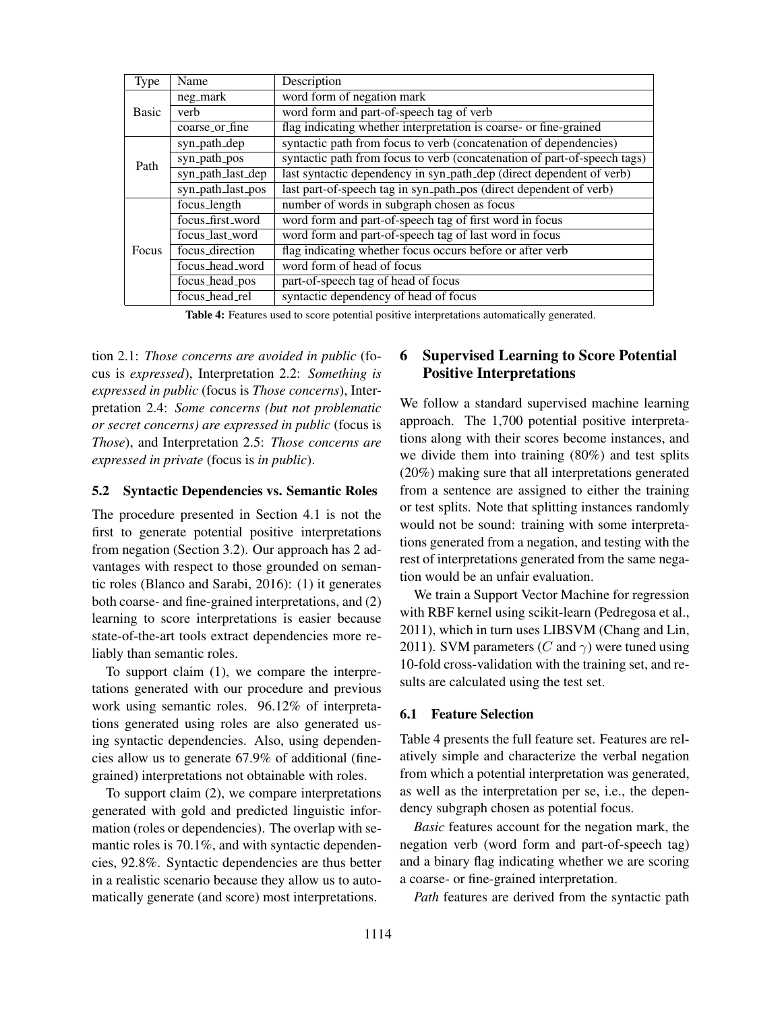| Type  | Name              | Description                                                              |  |  |
|-------|-------------------|--------------------------------------------------------------------------|--|--|
|       | neg_mark          | word form of negation mark                                               |  |  |
| Basic | verb              | word form and part-of-speech tag of verb                                 |  |  |
|       | coarse_or_fine    | flag indicating whether interpretation is coarse- or fine-grained        |  |  |
|       | syn_path_dep      | syntactic path from focus to verb (concatenation of dependencies)        |  |  |
| Path  | syn_path_pos      | syntactic path from focus to verb (concatenation of part-of-speech tags) |  |  |
|       | syn_path_last_dep | last syntactic dependency in syn_path_dep (direct dependent of verb)     |  |  |
|       | syn_path_last_pos | last part-of-speech tag in syn_path_pos (direct dependent of verb)       |  |  |
|       | focus_length      | number of words in subgraph chosen as focus                              |  |  |
|       | focus_first_word  | word form and part-of-speech tag of first word in focus                  |  |  |
|       | focus_last_word   | word form and part-of-speech tag of last word in focus                   |  |  |
| Focus | focus_direction   | flag indicating whether focus occurs before or after verb                |  |  |
|       | focus_head_word   | word form of head of focus                                               |  |  |
|       | focus_head_pos    | part-of-speech tag of head of focus                                      |  |  |
|       | focus_head_rel    | syntactic dependency of head of focus                                    |  |  |

Table 4: Features used to score potential positive interpretations automatically generated.

tion 2.1: *Those concerns are avoided in public* (focus is *expressed*), Interpretation 2.2: *Something is expressed in public* (focus is *Those concerns*), Interpretation 2.4: *Some concerns (but not problematic or secret concerns) are expressed in public* (focus is *Those*), and Interpretation 2.5: *Those concerns are expressed in private* (focus is *in public*).

# 5.2 Syntactic Dependencies vs. Semantic Roles

The procedure presented in Section 4.1 is not the first to generate potential positive interpretations from negation (Section 3.2). Our approach has 2 advantages with respect to those grounded on semantic roles (Blanco and Sarabi, 2016): (1) it generates both coarse- and fine-grained interpretations, and (2) learning to score interpretations is easier because state-of-the-art tools extract dependencies more reliably than semantic roles.

To support claim (1), we compare the interpretations generated with our procedure and previous work using semantic roles. 96.12% of interpretations generated using roles are also generated using syntactic dependencies. Also, using dependencies allow us to generate 67.9% of additional (finegrained) interpretations not obtainable with roles.

To support claim (2), we compare interpretations generated with gold and predicted linguistic information (roles or dependencies). The overlap with semantic roles is 70.1%, and with syntactic dependencies, 92.8%. Syntactic dependencies are thus better in a realistic scenario because they allow us to automatically generate (and score) most interpretations.

# 6 Supervised Learning to Score Potential Positive Interpretations

We follow a standard supervised machine learning approach. The 1,700 potential positive interpretations along with their scores become instances, and we divide them into training (80%) and test splits (20%) making sure that all interpretations generated from a sentence are assigned to either the training or test splits. Note that splitting instances randomly would not be sound: training with some interpretations generated from a negation, and testing with the rest of interpretations generated from the same negation would be an unfair evaluation.

We train a Support Vector Machine for regression with RBF kernel using scikit-learn (Pedregosa et al., 2011), which in turn uses LIBSVM (Chang and Lin, 2011). SVM parameters (C and  $\gamma$ ) were tuned using 10-fold cross-validation with the training set, and results are calculated using the test set.

#### 6.1 Feature Selection

Table 4 presents the full feature set. Features are relatively simple and characterize the verbal negation from which a potential interpretation was generated, as well as the interpretation per se, i.e., the dependency subgraph chosen as potential focus.

*Basic* features account for the negation mark, the negation verb (word form and part-of-speech tag) and a binary flag indicating whether we are scoring a coarse- or fine-grained interpretation.

*Path* features are derived from the syntactic path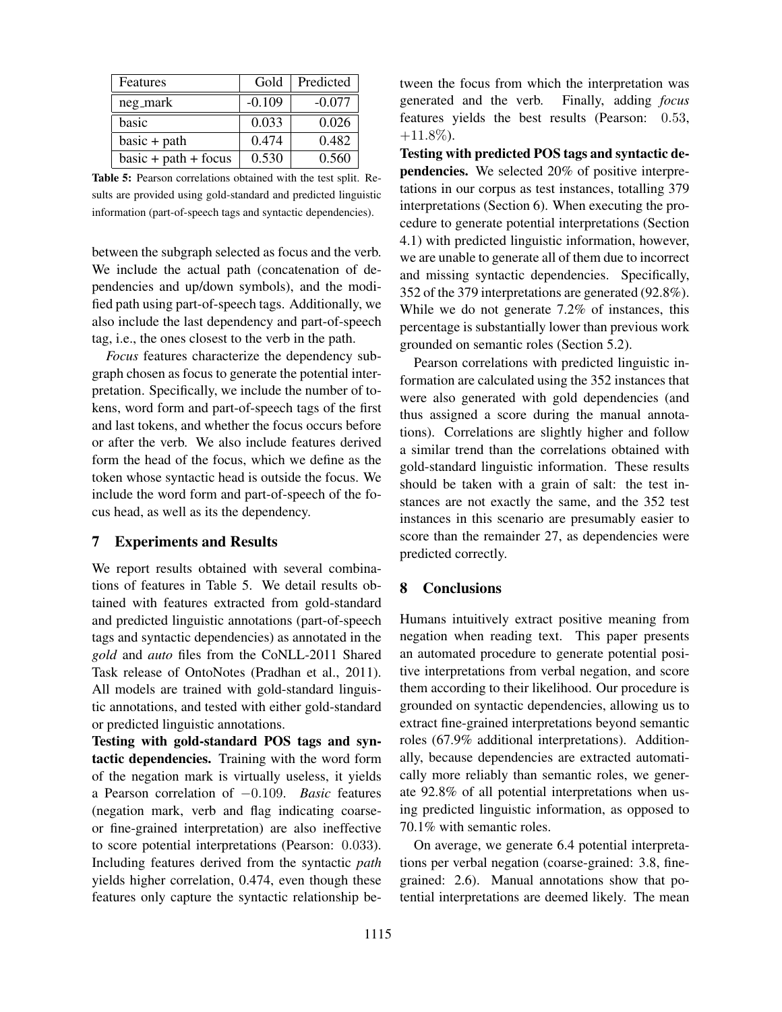| Features               | Gold     | Predicted |
|------------------------|----------|-----------|
| neg_mark               | $-0.109$ | $-0.077$  |
| basic                  | 0.033    | 0.026     |
| $basic + path$         | 0.474    | 0.482     |
| $basic + path + focus$ | 0.530    | 0.560     |

Table 5: Pearson correlations obtained with the test split. Results are provided using gold-standard and predicted linguistic information (part-of-speech tags and syntactic dependencies).

between the subgraph selected as focus and the verb. We include the actual path (concatenation of dependencies and up/down symbols), and the modified path using part-of-speech tags. Additionally, we also include the last dependency and part-of-speech tag, i.e., the ones closest to the verb in the path.

*Focus* features characterize the dependency subgraph chosen as focus to generate the potential interpretation. Specifically, we include the number of tokens, word form and part-of-speech tags of the first and last tokens, and whether the focus occurs before or after the verb. We also include features derived form the head of the focus, which we define as the token whose syntactic head is outside the focus. We include the word form and part-of-speech of the focus head, as well as its the dependency.

# 7 Experiments and Results

We report results obtained with several combinations of features in Table 5. We detail results obtained with features extracted from gold-standard and predicted linguistic annotations (part-of-speech tags and syntactic dependencies) as annotated in the *gold* and *auto* files from the CoNLL-2011 Shared Task release of OntoNotes (Pradhan et al., 2011). All models are trained with gold-standard linguistic annotations, and tested with either gold-standard or predicted linguistic annotations.

Testing with gold-standard POS tags and syntactic dependencies. Training with the word form of the negation mark is virtually useless, it yields a Pearson correlation of −0.109. *Basic* features (negation mark, verb and flag indicating coarseor fine-grained interpretation) are also ineffective to score potential interpretations (Pearson: 0.033). Including features derived from the syntactic *path* yields higher correlation, 0.474, even though these features only capture the syntactic relationship between the focus from which the interpretation was generated and the verb. Finally, adding *focus* features yields the best results (Pearson: 0.53,  $+11.8\%$ ).

Testing with predicted POS tags and syntactic dependencies. We selected 20% of positive interpretations in our corpus as test instances, totalling 379 interpretations (Section 6). When executing the procedure to generate potential interpretations (Section 4.1) with predicted linguistic information, however, we are unable to generate all of them due to incorrect and missing syntactic dependencies. Specifically, 352 of the 379 interpretations are generated (92.8%). While we do not generate 7.2% of instances, this percentage is substantially lower than previous work grounded on semantic roles (Section 5.2).

Pearson correlations with predicted linguistic information are calculated using the 352 instances that were also generated with gold dependencies (and thus assigned a score during the manual annotations). Correlations are slightly higher and follow a similar trend than the correlations obtained with gold-standard linguistic information. These results should be taken with a grain of salt: the test instances are not exactly the same, and the 352 test instances in this scenario are presumably easier to score than the remainder 27, as dependencies were predicted correctly.

## 8 Conclusions

Humans intuitively extract positive meaning from negation when reading text. This paper presents an automated procedure to generate potential positive interpretations from verbal negation, and score them according to their likelihood. Our procedure is grounded on syntactic dependencies, allowing us to extract fine-grained interpretations beyond semantic roles (67.9% additional interpretations). Additionally, because dependencies are extracted automatically more reliably than semantic roles, we generate 92.8% of all potential interpretations when using predicted linguistic information, as opposed to 70.1% with semantic roles.

On average, we generate 6.4 potential interpretations per verbal negation (coarse-grained: 3.8, finegrained: 2.6). Manual annotations show that potential interpretations are deemed likely. The mean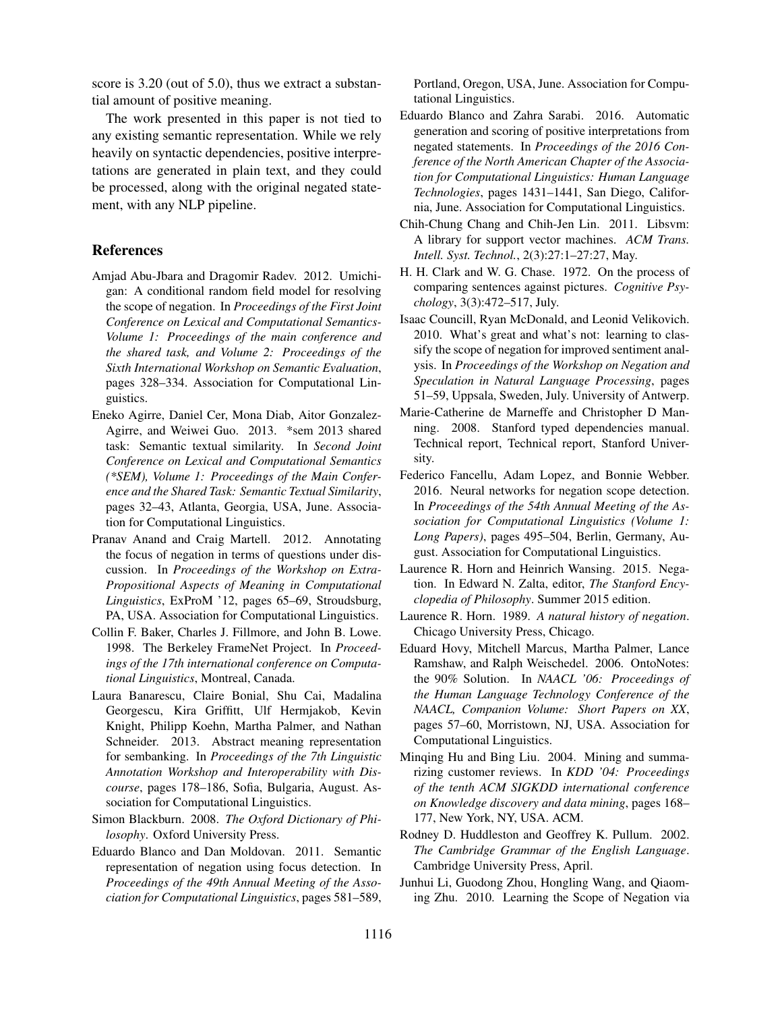score is 3.20 (out of 5.0), thus we extract a substantial amount of positive meaning.

The work presented in this paper is not tied to any existing semantic representation. While we rely heavily on syntactic dependencies, positive interpretations are generated in plain text, and they could be processed, along with the original negated statement, with any NLP pipeline.

# References

- Amjad Abu-Jbara and Dragomir Radev. 2012. Umichigan: A conditional random field model for resolving the scope of negation. In *Proceedings of the First Joint Conference on Lexical and Computational Semantics-Volume 1: Proceedings of the main conference and the shared task, and Volume 2: Proceedings of the Sixth International Workshop on Semantic Evaluation*, pages 328–334. Association for Computational Linguistics.
- Eneko Agirre, Daniel Cer, Mona Diab, Aitor Gonzalez-Agirre, and Weiwei Guo. 2013. \*sem 2013 shared task: Semantic textual similarity. In *Second Joint Conference on Lexical and Computational Semantics (\*SEM), Volume 1: Proceedings of the Main Conference and the Shared Task: Semantic Textual Similarity*, pages 32–43, Atlanta, Georgia, USA, June. Association for Computational Linguistics.
- Pranav Anand and Craig Martell. 2012. Annotating the focus of negation in terms of questions under discussion. In *Proceedings of the Workshop on Extra-Propositional Aspects of Meaning in Computational Linguistics*, ExProM '12, pages 65–69, Stroudsburg, PA, USA. Association for Computational Linguistics.
- Collin F. Baker, Charles J. Fillmore, and John B. Lowe. 1998. The Berkeley FrameNet Project. In *Proceedings of the 17th international conference on Computational Linguistics*, Montreal, Canada.
- Laura Banarescu, Claire Bonial, Shu Cai, Madalina Georgescu, Kira Griffitt, Ulf Hermjakob, Kevin Knight, Philipp Koehn, Martha Palmer, and Nathan Schneider. 2013. Abstract meaning representation for sembanking. In *Proceedings of the 7th Linguistic Annotation Workshop and Interoperability with Discourse*, pages 178–186, Sofia, Bulgaria, August. Association for Computational Linguistics.
- Simon Blackburn. 2008. *The Oxford Dictionary of Philosophy*. Oxford University Press.
- Eduardo Blanco and Dan Moldovan. 2011. Semantic representation of negation using focus detection. In *Proceedings of the 49th Annual Meeting of the Association for Computational Linguistics*, pages 581–589,

Portland, Oregon, USA, June. Association for Computational Linguistics.

- Eduardo Blanco and Zahra Sarabi. 2016. Automatic generation and scoring of positive interpretations from negated statements. In *Proceedings of the 2016 Conference of the North American Chapter of the Association for Computational Linguistics: Human Language Technologies*, pages 1431–1441, San Diego, California, June. Association for Computational Linguistics.
- Chih-Chung Chang and Chih-Jen Lin. 2011. Libsvm: A library for support vector machines. *ACM Trans. Intell. Syst. Technol.*, 2(3):27:1–27:27, May.
- H. H. Clark and W. G. Chase. 1972. On the process of comparing sentences against pictures. *Cognitive Psychology*, 3(3):472–517, July.
- Isaac Councill, Ryan McDonald, and Leonid Velikovich. 2010. What's great and what's not: learning to classify the scope of negation for improved sentiment analysis. In *Proceedings of the Workshop on Negation and Speculation in Natural Language Processing*, pages 51–59, Uppsala, Sweden, July. University of Antwerp.
- Marie-Catherine de Marneffe and Christopher D Manning. 2008. Stanford typed dependencies manual. Technical report, Technical report, Stanford University.
- Federico Fancellu, Adam Lopez, and Bonnie Webber. 2016. Neural networks for negation scope detection. In *Proceedings of the 54th Annual Meeting of the Association for Computational Linguistics (Volume 1: Long Papers)*, pages 495–504, Berlin, Germany, August. Association for Computational Linguistics.
- Laurence R. Horn and Heinrich Wansing. 2015. Negation. In Edward N. Zalta, editor, *The Stanford Encyclopedia of Philosophy*. Summer 2015 edition.
- Laurence R. Horn. 1989. *A natural history of negation*. Chicago University Press, Chicago.
- Eduard Hovy, Mitchell Marcus, Martha Palmer, Lance Ramshaw, and Ralph Weischedel. 2006. OntoNotes: the 90% Solution. In *NAACL '06: Proceedings of the Human Language Technology Conference of the NAACL, Companion Volume: Short Papers on XX*, pages 57–60, Morristown, NJ, USA. Association for Computational Linguistics.
- Minqing Hu and Bing Liu. 2004. Mining and summarizing customer reviews. In *KDD '04: Proceedings of the tenth ACM SIGKDD international conference on Knowledge discovery and data mining*, pages 168– 177, New York, NY, USA. ACM.
- Rodney D. Huddleston and Geoffrey K. Pullum. 2002. *The Cambridge Grammar of the English Language*. Cambridge University Press, April.
- Junhui Li, Guodong Zhou, Hongling Wang, and Qiaoming Zhu. 2010. Learning the Scope of Negation via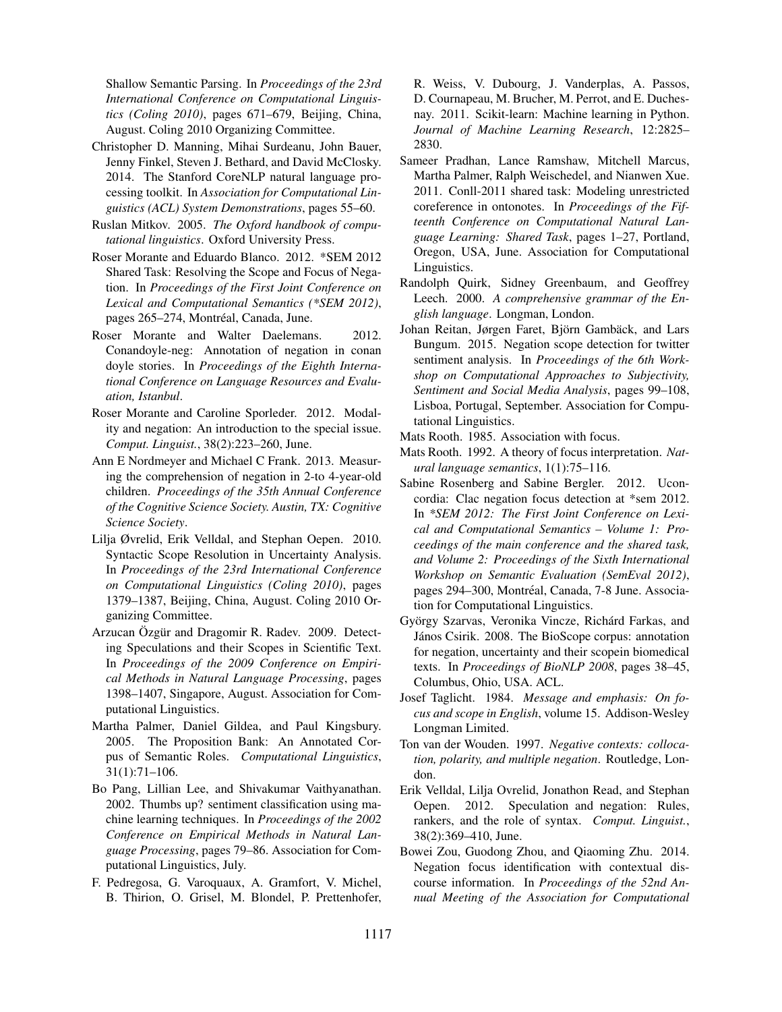Shallow Semantic Parsing. In *Proceedings of the 23rd International Conference on Computational Linguistics (Coling 2010)*, pages 671–679, Beijing, China, August. Coling 2010 Organizing Committee.

- Christopher D. Manning, Mihai Surdeanu, John Bauer, Jenny Finkel, Steven J. Bethard, and David McClosky. 2014. The Stanford CoreNLP natural language processing toolkit. In *Association for Computational Linguistics (ACL) System Demonstrations*, pages 55–60.
- Ruslan Mitkov. 2005. *The Oxford handbook of computational linguistics*. Oxford University Press.
- Roser Morante and Eduardo Blanco. 2012. \*SEM 2012 Shared Task: Resolving the Scope and Focus of Negation. In *Proceedings of the First Joint Conference on Lexical and Computational Semantics (\*SEM 2012)*, pages 265–274, Montréal, Canada, June.
- Roser Morante and Walter Daelemans. 2012. Conandoyle-neg: Annotation of negation in conan doyle stories. In *Proceedings of the Eighth International Conference on Language Resources and Evaluation, Istanbul*.
- Roser Morante and Caroline Sporleder. 2012. Modality and negation: An introduction to the special issue. *Comput. Linguist.*, 38(2):223–260, June.
- Ann E Nordmeyer and Michael C Frank. 2013. Measuring the comprehension of negation in 2-to 4-year-old children. *Proceedings of the 35th Annual Conference of the Cognitive Science Society. Austin, TX: Cognitive Science Society*.
- Lilja Øvrelid, Erik Velldal, and Stephan Oepen. 2010. Syntactic Scope Resolution in Uncertainty Analysis. In *Proceedings of the 23rd International Conference on Computational Linguistics (Coling 2010)*, pages 1379–1387, Beijing, China, August. Coling 2010 Organizing Committee.
- Arzucan Özgür and Dragomir R. Radev. 2009. Detecting Speculations and their Scopes in Scientific Text. In *Proceedings of the 2009 Conference on Empirical Methods in Natural Language Processing*, pages 1398–1407, Singapore, August. Association for Computational Linguistics.
- Martha Palmer, Daniel Gildea, and Paul Kingsbury. 2005. The Proposition Bank: An Annotated Corpus of Semantic Roles. *Computational Linguistics*, 31(1):71–106.
- Bo Pang, Lillian Lee, and Shivakumar Vaithyanathan. 2002. Thumbs up? sentiment classification using machine learning techniques. In *Proceedings of the 2002 Conference on Empirical Methods in Natural Language Processing*, pages 79–86. Association for Computational Linguistics, July.
- F. Pedregosa, G. Varoquaux, A. Gramfort, V. Michel, B. Thirion, O. Grisel, M. Blondel, P. Prettenhofer,

R. Weiss, V. Dubourg, J. Vanderplas, A. Passos, D. Cournapeau, M. Brucher, M. Perrot, and E. Duchesnay. 2011. Scikit-learn: Machine learning in Python. *Journal of Machine Learning Research*, 12:2825– 2830.

- Sameer Pradhan, Lance Ramshaw, Mitchell Marcus, Martha Palmer, Ralph Weischedel, and Nianwen Xue. 2011. Conll-2011 shared task: Modeling unrestricted coreference in ontonotes. In *Proceedings of the Fifteenth Conference on Computational Natural Language Learning: Shared Task*, pages 1–27, Portland, Oregon, USA, June. Association for Computational Linguistics.
- Randolph Quirk, Sidney Greenbaum, and Geoffrey Leech. 2000. *A comprehensive grammar of the English language*. Longman, London.
- Johan Reitan, Jørgen Faret, Björn Gambäck, and Lars Bungum. 2015. Negation scope detection for twitter sentiment analysis. In *Proceedings of the 6th Workshop on Computational Approaches to Subjectivity, Sentiment and Social Media Analysis*, pages 99–108, Lisboa, Portugal, September. Association for Computational Linguistics.
- Mats Rooth. 1985. Association with focus.
- Mats Rooth. 1992. A theory of focus interpretation. *Natural language semantics*, 1(1):75–116.
- Sabine Rosenberg and Sabine Bergler. 2012. Uconcordia: Clac negation focus detection at \*sem 2012. In *\*SEM 2012: The First Joint Conference on Lexical and Computational Semantics – Volume 1: Proceedings of the main conference and the shared task, and Volume 2: Proceedings of the Sixth International Workshop on Semantic Evaluation (SemEval 2012)*, pages 294–300, Montréal, Canada, 7-8 June. Association for Computational Linguistics.
- György Szarvas, Veronika Vincze, Richárd Farkas, and János Csirik. 2008. The BioScope corpus: annotation for negation, uncertainty and their scopein biomedical texts. In *Proceedings of BioNLP 2008*, pages 38–45, Columbus, Ohio, USA. ACL.
- Josef Taglicht. 1984. *Message and emphasis: On focus and scope in English*, volume 15. Addison-Wesley Longman Limited.
- Ton van der Wouden. 1997. *Negative contexts: collocation, polarity, and multiple negation*. Routledge, London.
- Erik Velldal, Lilja Ovrelid, Jonathon Read, and Stephan Oepen. 2012. Speculation and negation: Rules, rankers, and the role of syntax. *Comput. Linguist.*, 38(2):369–410, June.
- Bowei Zou, Guodong Zhou, and Qiaoming Zhu. 2014. Negation focus identification with contextual discourse information. In *Proceedings of the 52nd Annual Meeting of the Association for Computational*